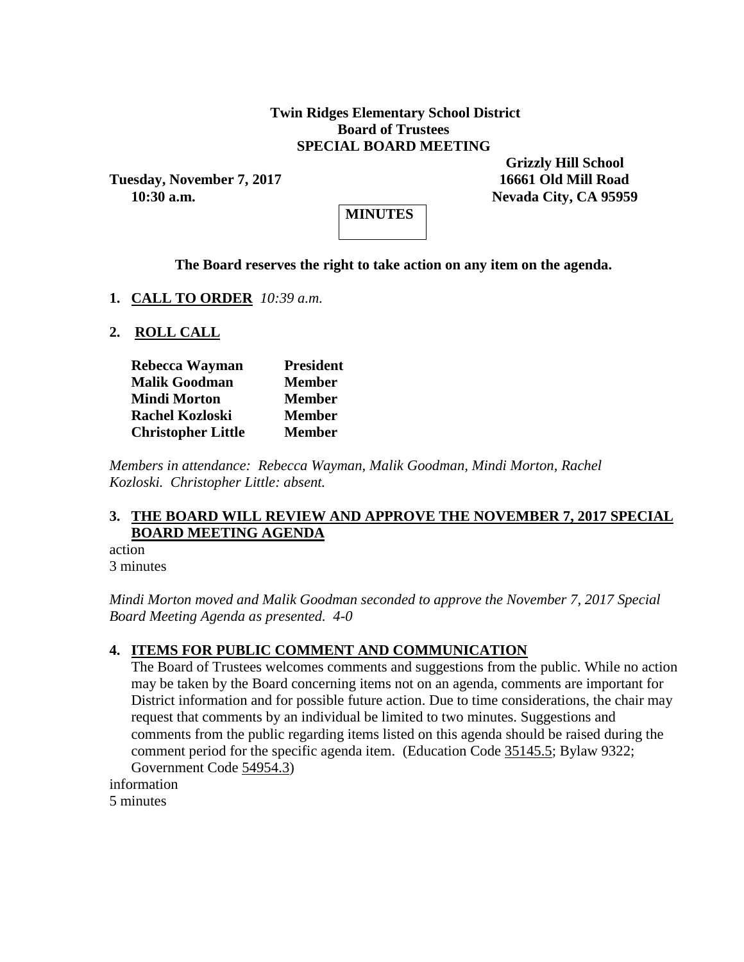## **Twin Ridges Elementary School District Board of Trustees SPECIAL BOARD MEETING**

**Tuesday, November 7, 2017 16661 Old Mill Road**

 **Grizzly Hill School 10:30 a.m. Nevada City, CA 95959**



### **The Board reserves the right to take action on any item on the agenda.**

**1. CALL TO ORDER** *10:39 a.m.*

**2. ROLL CALL**

| Rebecca Wayman            | <b>President</b> |
|---------------------------|------------------|
| <b>Malik Goodman</b>      | <b>Member</b>    |
| <b>Mindi Morton</b>       | <b>Member</b>    |
| <b>Rachel Kozloski</b>    | <b>Member</b>    |
| <b>Christopher Little</b> | <b>Member</b>    |

*Members in attendance: Rebecca Wayman, Malik Goodman, Mindi Morton, Rachel Kozloski. Christopher Little: absent.*

#### **3. THE BOARD WILL REVIEW AND APPROVE THE NOVEMBER 7, 2017 SPECIAL BOARD MEETING AGENDA**

action 3 minutes

*Mindi Morton moved and Malik Goodman seconded to approve the November 7, 2017 Special Board Meeting Agenda as presented. 4-0*

#### **4. ITEMS FOR PUBLIC COMMENT AND COMMUNICATION**

The Board of Trustees welcomes comments and suggestions from the public. While no action may be taken by the Board concerning items not on an agenda, comments are important for District information and for possible future action. Due to time considerations, the chair may request that comments by an individual be limited to two minutes. Suggestions and comments from the public regarding items listed on this agenda should be raised during the comment period for the specific agenda item. (Education Code 35145.5; Bylaw 9322; Government Code 54954.3)

information 5 minutes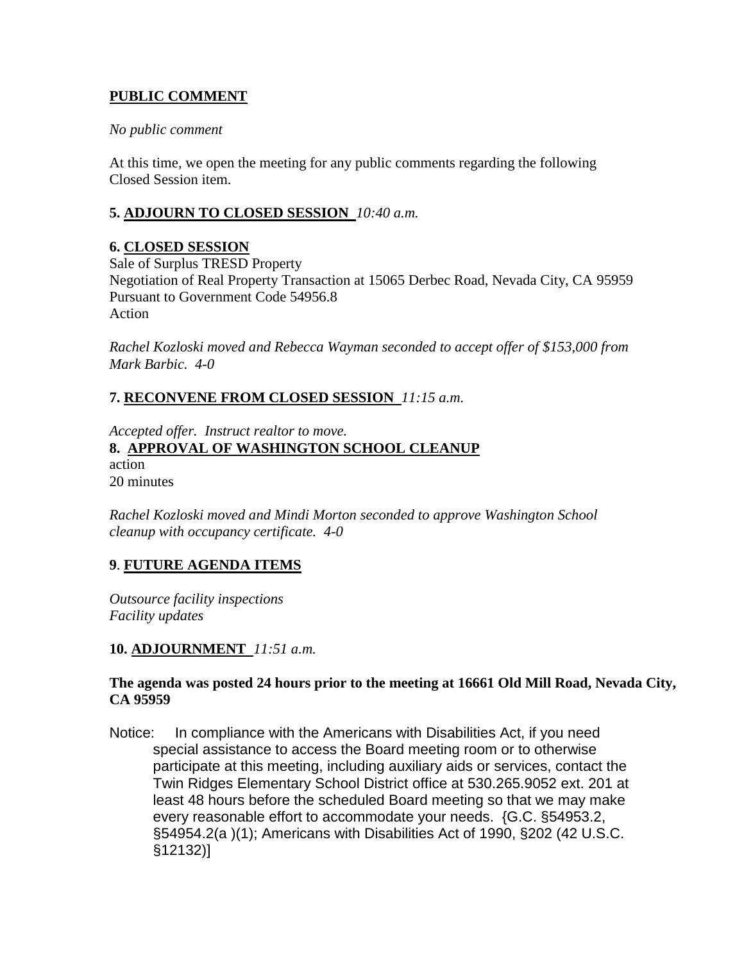# **PUBLIC COMMENT**

### *No public comment*

At this time, we open the meeting for any public comments regarding the following Closed Session item.

## **5. ADJOURN TO CLOSED SESSION** *10:40 a.m.*

## **6. CLOSED SESSION**

Sale of Surplus TRESD Property Negotiation of Real Property Transaction at 15065 Derbec Road, Nevada City, CA 95959 Pursuant to Government Code 54956.8 Action

*Rachel Kozloski moved and Rebecca Wayman seconded to accept offer of \$153,000 from Mark Barbic. 4-0*

## **7. RECONVENE FROM CLOSED SESSION** *11:15 a.m.*

*Accepted offer. Instruct realtor to move.* **8. APPROVAL OF WASHINGTON SCHOOL CLEANUP** action 20 minutes

*Rachel Kozloski moved and Mindi Morton seconded to approve Washington School cleanup with occupancy certificate. 4-0*

## **9**. **FUTURE AGENDA ITEMS**

*Outsource facility inspections Facility updates*

### **10. ADJOURNMENT** *11:51 a.m.*

### **The agenda was posted 24 hours prior to the meeting at 16661 Old Mill Road, Nevada City, CA 95959**

Notice: In compliance with the Americans with Disabilities Act, if you need special assistance to access the Board meeting room or to otherwise participate at this meeting, including auxiliary aids or services, contact the Twin Ridges Elementary School District office at 530.265.9052 ext. 201 at least 48 hours before the scheduled Board meeting so that we may make every reasonable effort to accommodate your needs. {G.C. §54953.2, §54954.2(a )(1); Americans with Disabilities Act of 1990, §202 (42 U.S.C. §12132)]